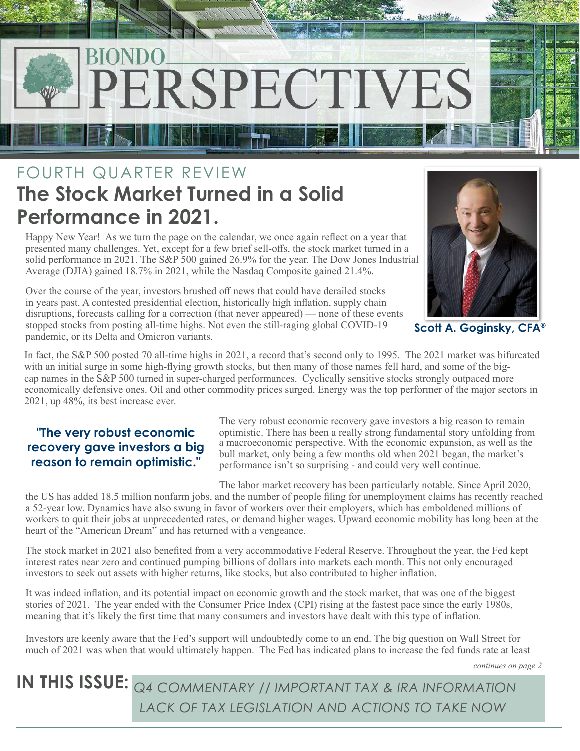

## FOURTH QUARTER REVIEW **The Stock Market Turned in a Solid Performance in 2021.**

Happy New Year! As we turn the page on the calendar, we once again reflect on a year that presented many challenges. Yet, except for a few brief sell-offs, the stock market turned in a solid performance in 2021. The S&P 500 gained 26.9% for the year. The Dow Jones Industrial Average (DJIA) gained 18.7% in 2021, while the Nasdaq Composite gained 21.4%.

Over the course of the year, investors brushed off news that could have derailed stocks in years past. A contested presidential election, historically high inflation, supply chain disruptions, forecasts calling for a correction (that never appeared) — none of these events stopped stocks from posting all-time highs. Not even the still-raging global COVID-19 pandemic, or its Delta and Omicron variants.



**Scott A. Goginsky, CFA®**

In fact, the S&P 500 posted 70 all-time highs in 2021, a record that's second only to 1995. The 2021 market was bifurcated with an initial surge in some high-flying growth stocks, but then many of those names fell hard, and some of the bigcap names in the S&P 500 turned in super-charged performances. Cyclically sensitive stocks strongly outpaced more economically defensive ones. Oil and other commodity prices surged. Energy was the top performer of the major sectors in 2021, up 48%, its best increase ever.

### **"The very robust economic recovery gave investors a big reason to remain optimistic."**

The very robust economic recovery gave investors a big reason to remain optimistic. There has been a really strong fundamental story unfolding from a macroeconomic perspective. With the economic expansion, as well as the bull market, only being a few months old when 2021 began, the market's performance isn't so surprising - and could very well continue.

The labor market recovery has been particularly notable. Since April 2020, the US has added 18.5 million nonfarm jobs, and the number of people filing for unemployment claims has recently reached a 52-year low. Dynamics have also swung in favor of workers over their employers, which has emboldened millions of workers to quit their jobs at unprecedented rates, or demand higher wages. Upward economic mobility has long been at the heart of the "American Dream" and has returned with a vengeance.

The stock market in 2021 also benefited from a very accommodative Federal Reserve. Throughout the year, the Fed kept interest rates near zero and continued pumping billions of dollars into markets each month. This not only encouraged investors to seek out assets with higher returns, like stocks, but also contributed to higher inflation.

It was indeed inflation, and its potential impact on economic growth and the stock market, that was one of the biggest stories of 2021. The year ended with the Consumer Price Index (CPI) rising at the fastest pace since the early 1980s, meaning that it's likely the first time that many consumers and investors have dealt with this type of inflation.

Investors are keenly aware that the Fed's support will undoubtedly come to an end. The big question on Wall Street for much of 2021 was when that would ultimately happen. The Fed has indicated plans to increase the fed funds rate at least

*continues on page 2*

**IN THIS ISSUE:** *Q4 COMMENTARY // IMPORTANT TAX & IRA INFORMATION LACK OF TAX LEGISLATION AND ACTIONS TO TAKE NOW*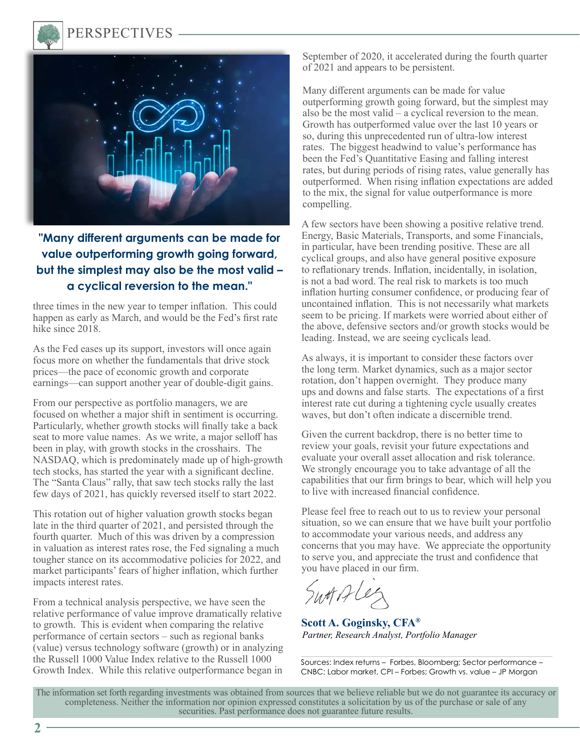

### PERSPECTIVES



### **"Many different arguments can be made for value outperforming growth going forward, but the simplest may also be the most valid – a cyclical reversion to the mean."**

three times in the new year to temper inflation. This could happen as early as March, and would be the Fed's first rate hike since 2018.

As the Fed eases up its support, investors will once again focus more on whether the fundamentals that drive stock prices—the pace of economic growth and corporate earnings—can support another year of double-digit gains.

From our perspective as portfolio managers, we are focused on whether a major shift in sentiment is occurring. Particularly, whether growth stocks will finally take a back seat to more value names. As we write, a major selloff has been in play, with growth stocks in the crosshairs. The NASDAQ, which is predominately made up of high-growth tech stocks, has started the year with a significant decline. The "Santa Claus" rally, that saw tech stocks rally the last few days of 2021, has quickly reversed itself to start 2022.

This rotation out of higher valuation growth stocks began late in the third quarter of 2021, and persisted through the fourth quarter. Much of this was driven by a compression in valuation as interest rates rose, the Fed signaling a much tougher stance on its accommodative policies for 2022, and market participants' fears of higher inflation, which further impacts interest rates.

From a technical analysis perspective, we have seen the relative performance of value improve dramatically relative to growth. This is evident when comparing the relative performance of certain sectors – such as regional banks (value) versus technology software (growth) or in analyzing the Russell 1000 Value Index relative to the Russell 1000 Growth Index. While this relative outperformance began in

September of 2020, it accelerated during the fourth quarter of 2021 and appears to be persistent.

Many different arguments can be made for value outperforming growth going forward, but the simplest may also be the most valid – a cyclical reversion to the mean. Growth has outperformed value over the last 10 years or so, during this unprecedented run of ultra-low interest rates. The biggest headwind to value's performance has been the Fed's Quantitative Easing and falling interest rates, but during periods of rising rates, value generally has outperformed. When rising inflation expectations are added to the mix, the signal for value outperformance is more compelling.

A few sectors have been showing a positive relative trend. Energy, Basic Materials, Transports, and some Financials, in particular, have been trending positive. These are all cyclical groups, and also have general positive exposure to reflationary trends. Inflation, incidentally, in isolation, is not a bad word. The real risk to markets is too much inflation hurting consumer confidence, or producing fear of uncontained inflation. This is not necessarily what markets seem to be pricing. If markets were worried about either of the above, defensive sectors and/or growth stocks would be leading. Instead, we are seeing cyclicals lead.

As always, it is important to consider these factors over the long term. Market dynamics, such as a major sector rotation, don't happen overnight. They produce many ups and downs and false starts. The expectations of a first interest rate cut during a tightening cycle usually creates waves, but don't often indicate a discernible trend.

Given the current backdrop, there is no better time to review your goals, revisit your future expectations and evaluate your overall asset allocation and risk tolerance. We strongly encourage you to take advantage of all the capabilities that our firm brings to bear, which will help you to live with increased financial confidence.

Please feel free to reach out to us to review your personal situation, so we can ensure that we have built your portfolio to accommodate your various needs, and address any concerns that you may have. We appreciate the opportunity to serve you, and appreciate the trust and confidence that you have placed in our firm.

Swotifle

**Scott A. Goginsky, CFA®** *Partner, Research Analyst, Portfolio Manager*

Sources: Index returns – Forbes, Bloomberg; Sector performance – CNBC; Labor market, CPI – Forbes; Growth vs. value – JP Morgan

The information set forth regarding investments was obtained from sources that we believe reliable but we do not guarantee its accuracy or completeness. Neither the information nor opinion expressed constitutes a solicitation by us of the purchase or sale of any securities. Past performance does not guarantee future results.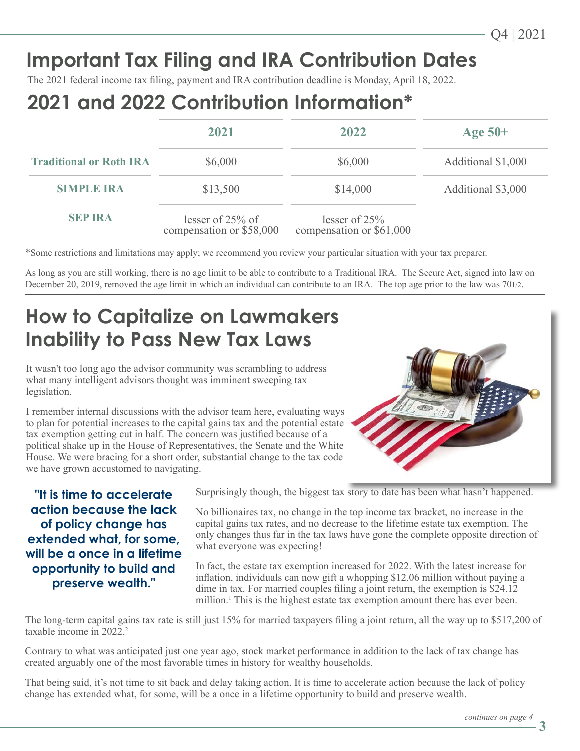# **Important Tax Filing and IRA Contribution Dates**

The 2021 federal income tax filing, payment and IRA contribution deadline is Monday, April 18, 2022.

## **2021 and 2022 Contribution Information\***

|                                | 2021                                           | 2022                                        |                    |
|--------------------------------|------------------------------------------------|---------------------------------------------|--------------------|
|                                |                                                |                                             | Age $50+$          |
| <b>Traditional or Roth IRA</b> | \$6,000                                        | \$6,000                                     | Additional \$1,000 |
| <b>SIMPLE IRA</b>              | \$13,500                                       | \$14,000                                    | Additional \$3,000 |
| <b>SEP IRA</b>                 | lesser of $25%$ of<br>compensation or \$58,000 | lesser of $25%$<br>compensation or \$61,000 |                    |

\*Some restrictions and limitations may apply; we recommend you review your particular situation with your tax preparer.

As long as you are still working, there is no age limit to be able to contribute to a Traditional IRA. The Secure Act, signed into law on December 20, 2019, removed the age limit in which an individual can contribute to an IRA. The top age prior to the law was 701/2.

## **How to Capitalize on Lawmakers Inability to Pass New Tax Laws**

It wasn't too long ago the advisor community was scrambling to address what many intelligent advisors thought was imminent sweeping tax legislation.

I remember internal discussions with the advisor team here, evaluating ways to plan for potential increases to the capital gains tax and the potential estate tax exemption getting cut in half. The concern was justified because of a political shake up in the House of Representatives, the Senate and the White House. We were bracing for a short order, substantial change to the tax code we have grown accustomed to navigating.



**"It is time to accelerate action because the lack of policy change has extended what, for some, will be a once in a lifetime opportunity to build and preserve wealth."**

Surprisingly though, the biggest tax story to date has been what hasn't happened.

No billionaires tax, no change in the top income tax bracket, no increase in the capital gains tax rates, and no decrease to the lifetime estate tax exemption. The only changes thus far in the tax laws have gone the complete opposite direction of what everyone was expecting!

In fact, the estate tax exemption increased for 2022. With the latest increase for inflation, individuals can now gift a whopping \$12.06 million without paying a dime in tax. For married couples filing a joint return, the exemption is \$24.12 million.<sup>1</sup> This is the highest estate tax exemption amount there has ever been.

The long-term capital gains tax rate is still just 15% for married taxpayers filing a joint return, all the way up to \$517,200 of taxable income in 2022.<sup>2</sup>

Contrary to what was anticipated just one year ago, stock market performance in addition to the lack of tax change has created arguably one of the most favorable times in history for wealthy households.

That being said, it's not time to sit back and delay taking action. It is time to accelerate action because the lack of policy change has extended what, for some, will be a once in a lifetime opportunity to build and preserve wealth.